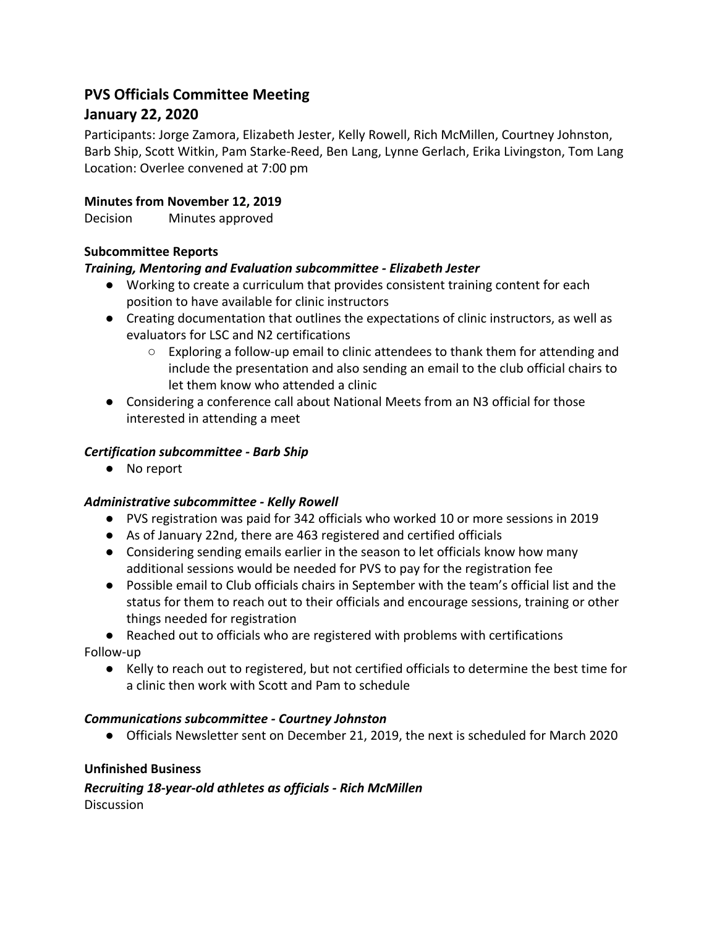# **PVS Officials Committee Meeting January 22, 2020**

Participants: Jorge Zamora, Elizabeth Jester, Kelly Rowell, Rich McMillen, Courtney Johnston, Barb Ship, Scott Witkin, Pam Starke-Reed, Ben Lang, Lynne Gerlach, Erika Livingston, Tom Lang Location: Overlee convened at 7:00 pm

# **Minutes from November 12, 2019**

Decision Minutes approved

# **Subcommittee Reports**

# *Training, Mentoring and Evaluation subcommittee - Elizabeth Jester*

- Working to create a curriculum that provides consistent training content for each position to have available for clinic instructors
- Creating documentation that outlines the expectations of clinic instructors, as well as evaluators for LSC and N2 certifications
	- $\circ$  Exploring a follow-up email to clinic attendees to thank them for attending and include the presentation and also sending an email to the club official chairs to let them know who attended a clinic
- Considering a conference call about National Meets from an N3 official for those interested in attending a meet

# *Certification subcommittee - Barb Ship*

● No report

#### *Administrative subcommittee - Kelly Rowell*

- PVS registration was paid for 342 officials who worked 10 or more sessions in 2019
- As of January 22nd, there are 463 registered and certified officials
- Considering sending emails earlier in the season to let officials know how many additional sessions would be needed for PVS to pay for the registration fee
- Possible email to Club officials chairs in September with the team's official list and the status for them to reach out to their officials and encourage sessions, training or other things needed for registration

● Reached out to officials who are registered with problems with certifications

Follow-up

● Kelly to reach out to registered, but not certified officials to determine the best time for a clinic then work with Scott and Pam to schedule

#### *Communications subcommittee - Courtney Johnston*

● Officials Newsletter sent on December 21, 2019, the next is scheduled for March 2020

#### **Unfinished Business**

*Recruiting 18-year-old athletes as officials - Rich McMillen* **Discussion**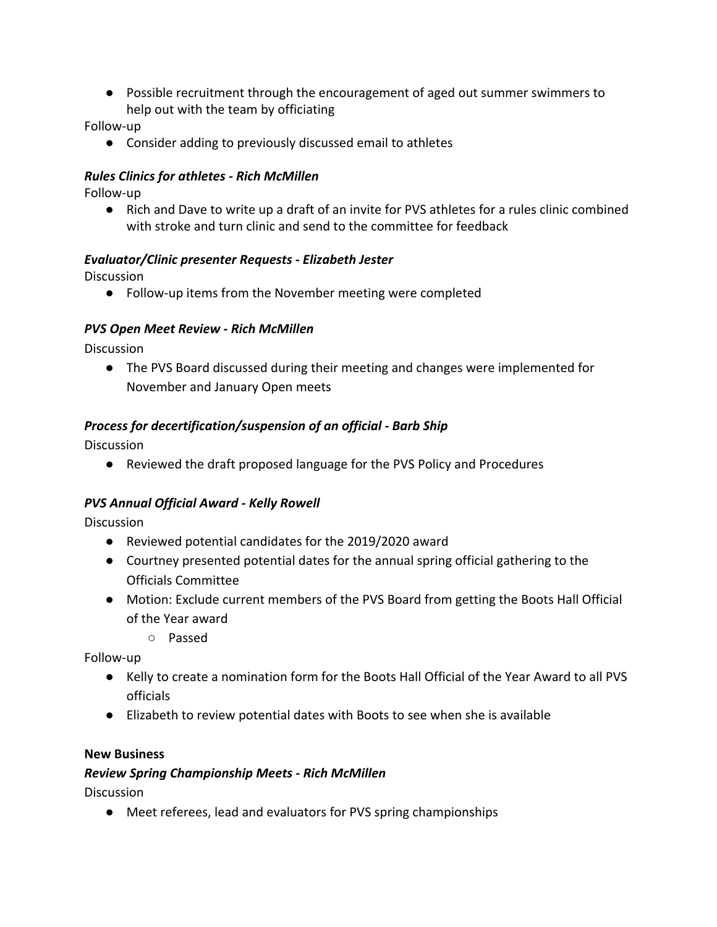● Possible recruitment through the encouragement of aged out summer swimmers to help out with the team by officiating

Follow-up

● Consider adding to previously discussed email to athletes

#### *Rules Clinics for athletes - Rich McMillen*

Follow-up

● Rich and Dave to write up a draft of an invite for PVS athletes for a rules clinic combined with stroke and turn clinic and send to the committee for feedback

#### *Evaluator/Clinic presenter Requests - Elizabeth Jester*

**Discussion** 

● Follow-up items from the November meeting were completed

#### *PVS Open Meet Review - Rich McMillen*

**Discussion** 

● The PVS Board discussed during their meeting and changes were implemented for November and January Open meets

#### *Process for decertification/suspension of an official - Barb Ship*

Discussion

● Reviewed the draft proposed language for the PVS Policy and Procedures

#### *PVS Annual Official Award - Kelly Rowell*

**Discussion** 

- Reviewed potential candidates for the 2019/2020 award
- Courtney presented potential dates for the annual spring official gathering to the Officials Committee
- Motion: Exclude current members of the PVS Board from getting the Boots Hall Official of the Year award
	- Passed

Follow-up

- Kelly to create a nomination form for the Boots Hall Official of the Year Award to all PVS officials
- Elizabeth to review potential dates with Boots to see when she is available

#### **New Business**

#### *Review Spring Championship Meets - Rich McMillen*

**Discussion** 

● Meet referees, lead and evaluators for PVS spring championships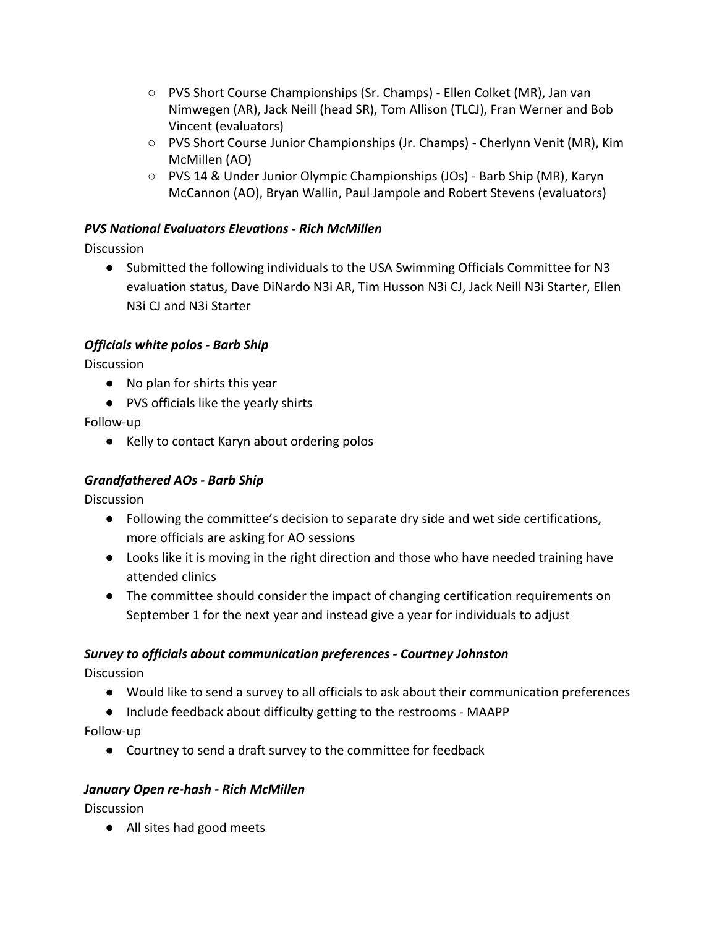- PVS Short Course Championships (Sr. Champs) Ellen Colket (MR), Jan van Nimwegen (AR), Jack Neill (head SR), Tom Allison (TLCJ), Fran Werner and Bob Vincent (evaluators)
- PVS Short Course Junior Championships (Jr. Champs) Cherlynn Venit (MR), Kim McMillen (AO)
- PVS 14 & Under Junior Olympic Championships (JOs) Barb Ship (MR), Karyn McCannon (AO), Bryan Wallin, Paul Jampole and Robert Stevens (evaluators)

# *PVS National Evaluators Elevations - Rich McMillen*

**Discussion** 

● Submitted the following individuals to the USA Swimming Officials Committee for N3 evaluation status, Dave DiNardo N3i AR, Tim Husson N3i CJ, Jack Neill N3i Starter, Ellen N3i CJ and N3i Starter

# *Officials white polos - Barb Ship*

**Discussion** 

- No plan for shirts this year
- PVS officials like the yearly shirts

Follow-up

● Kelly to contact Karyn about ordering polos

#### *Grandfathered AOs - Barb Ship*

**Discussion** 

- Following the committee's decision to separate dry side and wet side certifications, more officials are asking for AO sessions
- Looks like it is moving in the right direction and those who have needed training have attended clinics
- The committee should consider the impact of changing certification requirements on September 1 for the next year and instead give a year for individuals to adjust

# *Survey to officials about communication preferences - Courtney Johnston*

**Discussion** 

- Would like to send a survey to all officials to ask about their communication preferences
- Include feedback about difficulty getting to the restrooms MAAPP

Follow-up

● Courtney to send a draft survey to the committee for feedback

#### *January Open re-hash - Rich McMillen*

**Discussion** 

● All sites had good meets